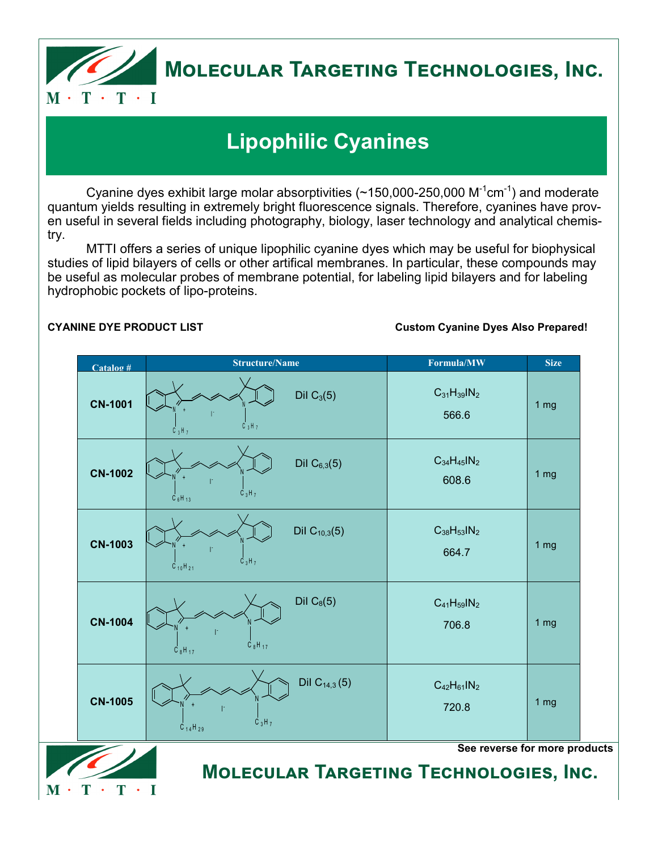

# **Molecular Targeting Technologies, Inc.**

## **Lipophilic Cyanines**

Cyanine dyes exhibit large molar absorptivities (~150,000-250,000  $\text{M}^{\text{-1}}$ cm $^{\text{-1}}$ ) and moderate quantum yields resulting in extremely bright fluorescence signals. Therefore, cyanines have proven useful in several fields including photography, biology, laser technology and analytical chemistry.

MTTI offers a series of unique lipophilic cyanine dyes which may be useful for biophysical studies of lipid bilayers of cells or other artifical membranes. In particular, these compounds may be useful as molecular probes of membrane potential, for labeling lipid bilayers and for labeling hydrophobic pockets of lipo-proteins.

 $\mathbf{T}$  .

 $\mathbf{M}$  .

 $T \cdot I$ 

## **CYANINE DYE PRODUCT LIST Custom Cyanine Dyes Also Prepared!**

| $Catalog$ #    | <b>Structure/Name</b>                                            | Formula/MW                  | <b>Size</b>     |
|----------------|------------------------------------------------------------------|-----------------------------|-----------------|
| <b>CN-1001</b> | Dil $C_3(5)$<br>$C_3H_7$<br>$C_3H_7$                             | $C_{31}H_{39}IN_2$<br>566.6 | 1 <sub>mg</sub> |
| <b>CN-1002</b> | Dil $C_{6,3}(5)$<br>$C_3H_7$<br>$C_6H_{13}$                      | $C_{34}H_{45}IN_2$<br>608.6 | 1 <sub>mg</sub> |
| <b>CN-1003</b> | Dil $C_{10,3}(5)$<br>$C_3H_7$<br>$C_{10}H_{21}$                  | $C_{38}H_{53}IN_2$<br>664.7 | 1 <sub>mg</sub> |
| <b>CN-1004</b> | Dil $C_8(5)$<br>$\dot{C}_8H_{17}$<br>$C_8H_{17}$                 | $C_{41}H_{59}IN_2$<br>706.8 | 1 <sub>mg</sub> |
| <b>CN-1005</b> | Dil $C_{14,3}(5)$<br>$\overrightarrow{C}_3H_7$<br>$C_{14}H_{29}$ | $C_{42}H_{61}IN_2$<br>720.8 | 1 <sub>mg</sub> |

**Molecular Targeting Technologies, Inc.**